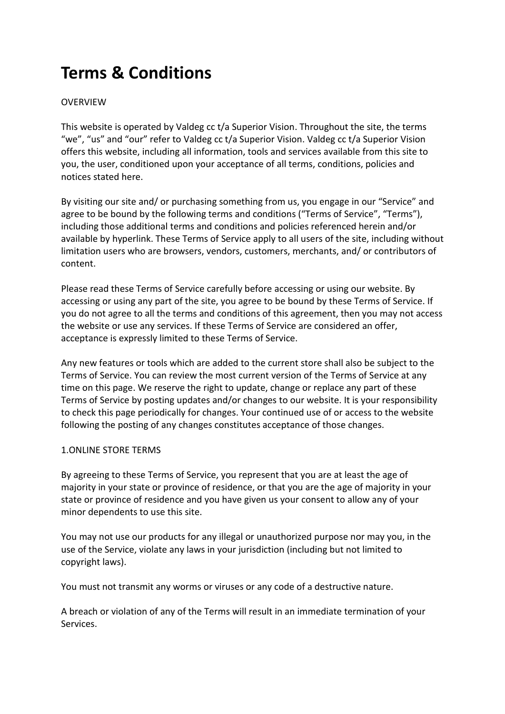# **Terms & Conditions**

## OVERVIEW

This website is operated by Valdeg cc t/a Superior Vision. Throughout the site, the terms "we", "us" and "our" refer to Valdeg cc t/a Superior Vision. Valdeg cc t/a Superior Vision offers this website, including all information, tools and services available from this site to you, the user, conditioned upon your acceptance of all terms, conditions, policies and notices stated here.

By visiting our site and/ or purchasing something from us, you engage in our "Service" and agree to be bound by the following terms and conditions ("Terms of Service", "Terms"), including those additional terms and conditions and policies referenced herein and/or available by hyperlink. These Terms of Service apply to all users of the site, including without limitation users who are browsers, vendors, customers, merchants, and/ or contributors of content.

Please read these Terms of Service carefully before accessing or using our website. By accessing or using any part of the site, you agree to be bound by these Terms of Service. If you do not agree to all the terms and conditions of this agreement, then you may not access the website or use any services. If these Terms of Service are considered an offer, acceptance is expressly limited to these Terms of Service.

Any new features or tools which are added to the current store shall also be subject to the Terms of Service. You can review the most current version of the Terms of Service at any time on this page. We reserve the right to update, change or replace any part of these Terms of Service by posting updates and/or changes to our website. It is your responsibility to check this page periodically for changes. Your continued use of or access to the website following the posting of any changes constitutes acceptance of those changes.

## 1.ONLINE STORE TERMS

By agreeing to these Terms of Service, you represent that you are at least the age of majority in your state or province of residence, or that you are the age of majority in your state or province of residence and you have given us your consent to allow any of your minor dependents to use this site.

You may not use our products for any illegal or unauthorized purpose nor may you, in the use of the Service, violate any laws in your jurisdiction (including but not limited to copyright laws).

You must not transmit any worms or viruses or any code of a destructive nature.

A breach or violation of any of the Terms will result in an immediate termination of your Services.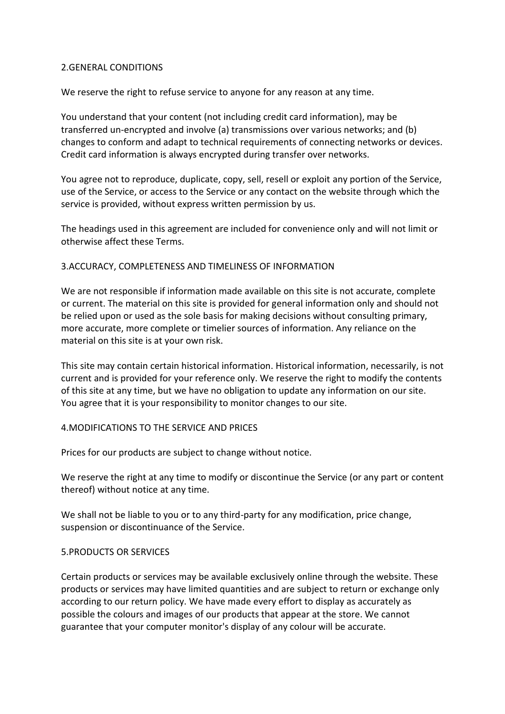## 2.GENERAL CONDITIONS

We reserve the right to refuse service to anyone for any reason at any time.

You understand that your content (not including credit card information), may be transferred un-encrypted and involve (a) transmissions over various networks; and (b) changes to conform and adapt to technical requirements of connecting networks or devices. Credit card information is always encrypted during transfer over networks.

You agree not to reproduce, duplicate, copy, sell, resell or exploit any portion of the Service, use of the Service, or access to the Service or any contact on the website through which the service is provided, without express written permission by us.

The headings used in this agreement are included for convenience only and will not limit or otherwise affect these Terms.

## 3.ACCURACY, COMPLETENESS AND TIMELINESS OF INFORMATION

We are not responsible if information made available on this site is not accurate, complete or current. The material on this site is provided for general information only and should not be relied upon or used as the sole basis for making decisions without consulting primary, more accurate, more complete or timelier sources of information. Any reliance on the material on this site is at your own risk.

This site may contain certain historical information. Historical information, necessarily, is not current and is provided for your reference only. We reserve the right to modify the contents of this site at any time, but we have no obligation to update any information on our site. You agree that it is your responsibility to monitor changes to our site.

## 4.MODIFICATIONS TO THE SERVICE AND PRICES

Prices for our products are subject to change without notice.

We reserve the right at any time to modify or discontinue the Service (or any part or content thereof) without notice at any time.

We shall not be liable to you or to any third-party for any modification, price change, suspension or discontinuance of the Service.

## 5.PRODUCTS OR SERVICES

Certain products or services may be available exclusively online through the website. These products or services may have limited quantities and are subject to return or exchange only according to our return policy. We have made every effort to display as accurately as possible the colours and images of our products that appear at the store. We cannot guarantee that your computer monitor's display of any colour will be accurate.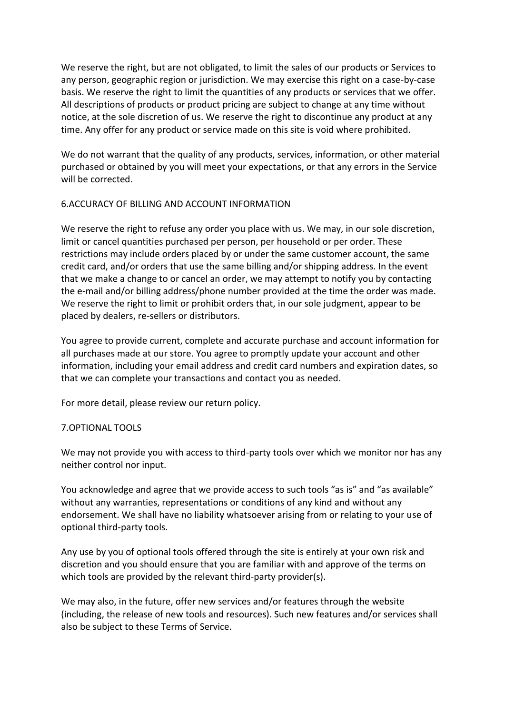We reserve the right, but are not obligated, to limit the sales of our products or Services to any person, geographic region or jurisdiction. We may exercise this right on a case-by-case basis. We reserve the right to limit the quantities of any products or services that we offer. All descriptions of products or product pricing are subject to change at any time without notice, at the sole discretion of us. We reserve the right to discontinue any product at any time. Any offer for any product or service made on this site is void where prohibited.

We do not warrant that the quality of any products, services, information, or other material purchased or obtained by you will meet your expectations, or that any errors in the Service will be corrected.

## 6.ACCURACY OF BILLING AND ACCOUNT INFORMATION

We reserve the right to refuse any order you place with us. We may, in our sole discretion, limit or cancel quantities purchased per person, per household or per order. These restrictions may include orders placed by or under the same customer account, the same credit card, and/or orders that use the same billing and/or shipping address. In the event that we make a change to or cancel an order, we may attempt to notify you by contacting the e-mail and/or billing address/phone number provided at the time the order was made. We reserve the right to limit or prohibit orders that, in our sole judgment, appear to be placed by dealers, re-sellers or distributors.

You agree to provide current, complete and accurate purchase and account information for all purchases made at our store. You agree to promptly update your account and other information, including your email address and credit card numbers and expiration dates, so that we can complete your transactions and contact you as needed.

For more detail, please review our return policy.

## 7.OPTIONAL TOOLS

We may not provide you with access to third-party tools over which we monitor nor has any neither control nor input.

You acknowledge and agree that we provide access to such tools "as is" and "as available" without any warranties, representations or conditions of any kind and without any endorsement. We shall have no liability whatsoever arising from or relating to your use of optional third-party tools.

Any use by you of optional tools offered through the site is entirely at your own risk and discretion and you should ensure that you are familiar with and approve of the terms on which tools are provided by the relevant third-party provider(s).

We may also, in the future, offer new services and/or features through the website (including, the release of new tools and resources). Such new features and/or services shall also be subject to these Terms of Service.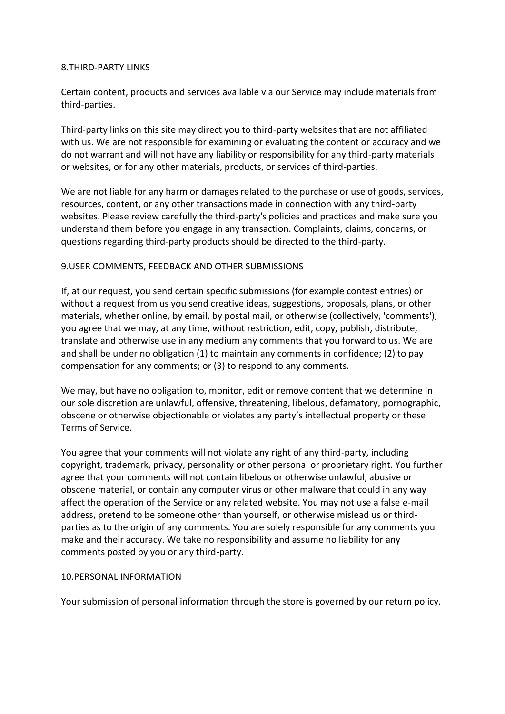## 8.THIRD-PARTY LINKS

Certain content, products and services available via our Service may include materials from third-parties.

Third-party links on this site may direct you to third-party websites that are not affiliated with us. We are not responsible for examining or evaluating the content or accuracy and we do not warrant and will not have any liability or responsibility for any third-party materials or websites, or for any other materials, products, or services of third-parties.

We are not liable for any harm or damages related to the purchase or use of goods, services, resources, content, or any other transactions made in connection with any third-party websites. Please review carefully the third-party's policies and practices and make sure you understand them before you engage in any transaction. Complaints, claims, concerns, or questions regarding third-party products should be directed to the third-party.

## 9.USER COMMENTS, FEEDBACK AND OTHER SUBMISSIONS

If, at our request, you send certain specific submissions (for example contest entries) or without a request from us you send creative ideas, suggestions, proposals, plans, or other materials, whether online, by email, by postal mail, or otherwise (collectively, 'comments'), you agree that we may, at any time, without restriction, edit, copy, publish, distribute, translate and otherwise use in any medium any comments that you forward to us. We are and shall be under no obligation (1) to maintain any comments in confidence; (2) to pay compensation for any comments; or (3) to respond to any comments.

We may, but have no obligation to, monitor, edit or remove content that we determine in our sole discretion are unlawful, offensive, threatening, libelous, defamatory, pornographic, obscene or otherwise objectionable or violates any party's intellectual property or these Terms of Service.

You agree that your comments will not violate any right of any third-party, including copyright, trademark, privacy, personality or other personal or proprietary right. You further agree that your comments will not contain libelous or otherwise unlawful, abusive or obscene material, or contain any computer virus or other malware that could in any way affect the operation of the Service or any related website. You may not use a false e-mail address, pretend to be someone other than yourself, or otherwise mislead us or thirdparties as to the origin of any comments. You are solely responsible for any comments you make and their accuracy. We take no responsibility and assume no liability for any comments posted by you or any third-party.

## 10.PERSONAL INFORMATION

Your submission of personal information through the store is governed by our return policy.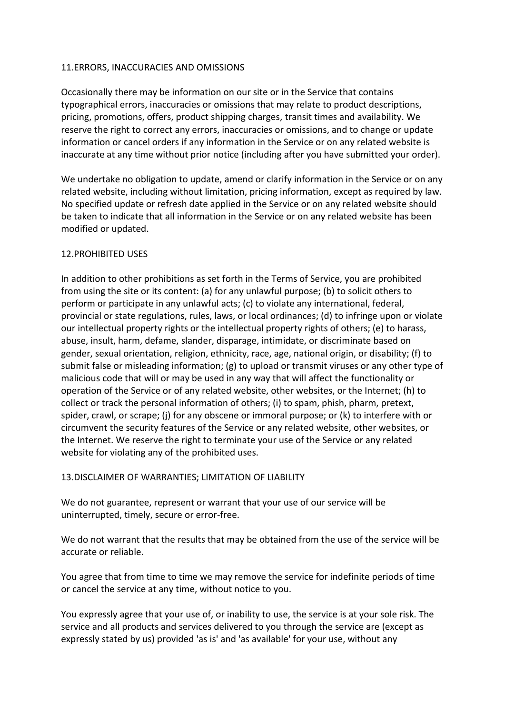## 11.ERRORS, INACCURACIES AND OMISSIONS

Occasionally there may be information on our site or in the Service that contains typographical errors, inaccuracies or omissions that may relate to product descriptions, pricing, promotions, offers, product shipping charges, transit times and availability. We reserve the right to correct any errors, inaccuracies or omissions, and to change or update information or cancel orders if any information in the Service or on any related website is inaccurate at any time without prior notice (including after you have submitted your order).

We undertake no obligation to update, amend or clarify information in the Service or on any related website, including without limitation, pricing information, except as required by law. No specified update or refresh date applied in the Service or on any related website should be taken to indicate that all information in the Service or on any related website has been modified or updated.

## 12.PROHIBITED USES

In addition to other prohibitions as set forth in the Terms of Service, you are prohibited from using the site or its content: (a) for any unlawful purpose; (b) to solicit others to perform or participate in any unlawful acts; (c) to violate any international, federal, provincial or state regulations, rules, laws, or local ordinances; (d) to infringe upon or violate our intellectual property rights or the intellectual property rights of others; (e) to harass, abuse, insult, harm, defame, slander, disparage, intimidate, or discriminate based on gender, sexual orientation, religion, ethnicity, race, age, national origin, or disability; (f) to submit false or misleading information; (g) to upload or transmit viruses or any other type of malicious code that will or may be used in any way that will affect the functionality or operation of the Service or of any related website, other websites, or the Internet; (h) to collect or track the personal information of others; (i) to spam, phish, pharm, pretext, spider, crawl, or scrape; (j) for any obscene or immoral purpose; or (k) to interfere with or circumvent the security features of the Service or any related website, other websites, or the Internet. We reserve the right to terminate your use of the Service or any related website for violating any of the prohibited uses.

## 13.DISCLAIMER OF WARRANTIES; LIMITATION OF LIABILITY

We do not guarantee, represent or warrant that your use of our service will be uninterrupted, timely, secure or error-free.

We do not warrant that the results that may be obtained from the use of the service will be accurate or reliable.

You agree that from time to time we may remove the service for indefinite periods of time or cancel the service at any time, without notice to you.

You expressly agree that your use of, or inability to use, the service is at your sole risk. The service and all products and services delivered to you through the service are (except as expressly stated by us) provided 'as is' and 'as available' for your use, without any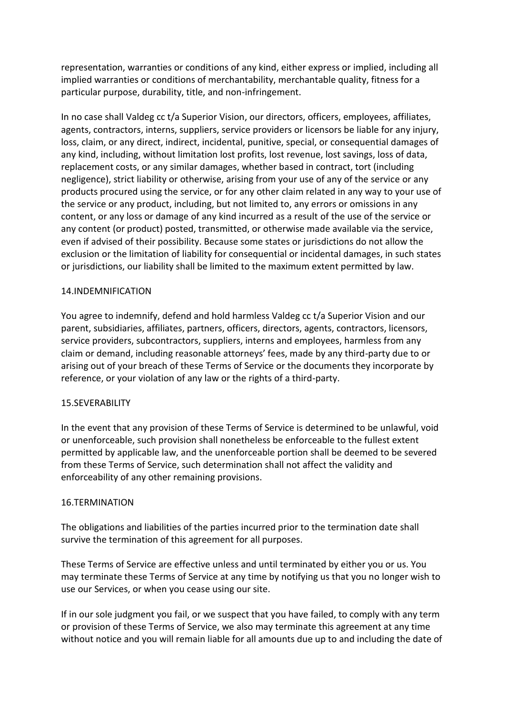representation, warranties or conditions of any kind, either express or implied, including all implied warranties or conditions of merchantability, merchantable quality, fitness for a particular purpose, durability, title, and non-infringement.

In no case shall Valdeg cc t/a Superior Vision, our directors, officers, employees, affiliates, agents, contractors, interns, suppliers, service providers or licensors be liable for any injury, loss, claim, or any direct, indirect, incidental, punitive, special, or consequential damages of any kind, including, without limitation lost profits, lost revenue, lost savings, loss of data, replacement costs, or any similar damages, whether based in contract, tort (including negligence), strict liability or otherwise, arising from your use of any of the service or any products procured using the service, or for any other claim related in any way to your use of the service or any product, including, but not limited to, any errors or omissions in any content, or any loss or damage of any kind incurred as a result of the use of the service or any content (or product) posted, transmitted, or otherwise made available via the service, even if advised of their possibility. Because some states or jurisdictions do not allow the exclusion or the limitation of liability for consequential or incidental damages, in such states or jurisdictions, our liability shall be limited to the maximum extent permitted by law.

## 14.INDEMNIFICATION

You agree to indemnify, defend and hold harmless Valdeg cc t/a Superior Vision and our parent, subsidiaries, affiliates, partners, officers, directors, agents, contractors, licensors, service providers, subcontractors, suppliers, interns and employees, harmless from any claim or demand, including reasonable attorneys' fees, made by any third-party due to or arising out of your breach of these Terms of Service or the documents they incorporate by reference, or your violation of any law or the rights of a third-party.

## 15.SEVERABILITY

In the event that any provision of these Terms of Service is determined to be unlawful, void or unenforceable, such provision shall nonetheless be enforceable to the fullest extent permitted by applicable law, and the unenforceable portion shall be deemed to be severed from these Terms of Service, such determination shall not affect the validity and enforceability of any other remaining provisions.

## 16.TERMINATION

The obligations and liabilities of the parties incurred prior to the termination date shall survive the termination of this agreement for all purposes.

These Terms of Service are effective unless and until terminated by either you or us. You may terminate these Terms of Service at any time by notifying us that you no longer wish to use our Services, or when you cease using our site.

If in our sole judgment you fail, or we suspect that you have failed, to comply with any term or provision of these Terms of Service, we also may terminate this agreement at any time without notice and you will remain liable for all amounts due up to and including the date of